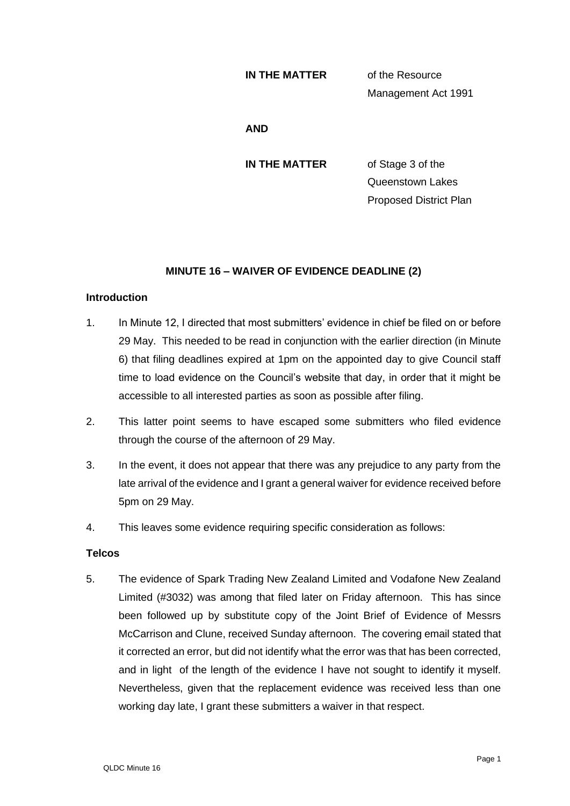#### **IN THE MATTER** of the Resource

Management Act 1991

#### **AND**

**IN THE MATTER** of Stage 3 of the Queenstown Lakes Proposed District Plan

# **MINUTE 16 – WAIVER OF EVIDENCE DEADLINE (2)**

## **Introduction**

- 1. In Minute 12, I directed that most submitters' evidence in chief be filed on or before 29 May. This needed to be read in conjunction with the earlier direction (in Minute 6) that filing deadlines expired at 1pm on the appointed day to give Council staff time to load evidence on the Council's website that day, in order that it might be accessible to all interested parties as soon as possible after filing.
- 2. This latter point seems to have escaped some submitters who filed evidence through the course of the afternoon of 29 May.
- 3. In the event, it does not appear that there was any prejudice to any party from the late arrival of the evidence and I grant a general waiver for evidence received before 5pm on 29 May.
- 4. This leaves some evidence requiring specific consideration as follows:

## **Telcos**

5. The evidence of Spark Trading New Zealand Limited and Vodafone New Zealand Limited (#3032) was among that filed later on Friday afternoon. This has since been followed up by substitute copy of the Joint Brief of Evidence of Messrs McCarrison and Clune, received Sunday afternoon. The covering email stated that it corrected an error, but did not identify what the error was that has been corrected, and in light of the length of the evidence I have not sought to identify it myself. Nevertheless, given that the replacement evidence was received less than one working day late, I grant these submitters a waiver in that respect.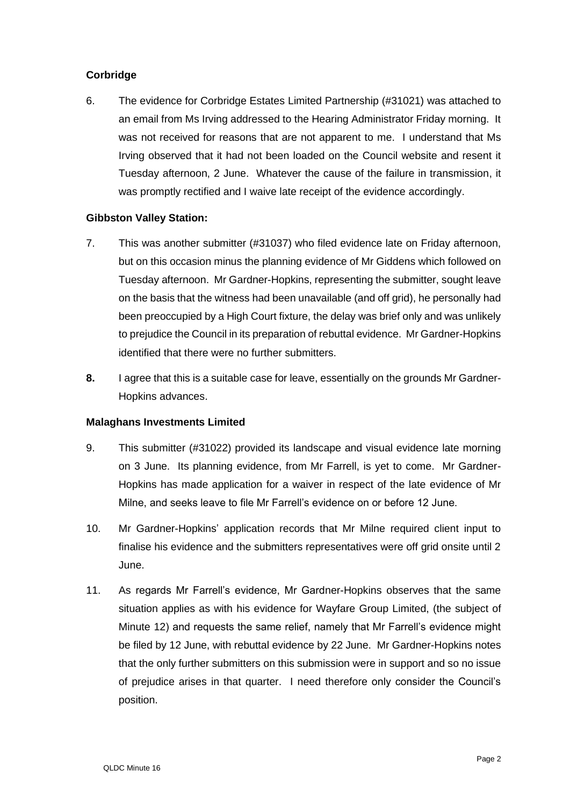# **Corbridge**

6. The evidence for Corbridge Estates Limited Partnership (#31021) was attached to an email from Ms Irving addressed to the Hearing Administrator Friday morning. It was not received for reasons that are not apparent to me. I understand that Ms Irving observed that it had not been loaded on the Council website and resent it Tuesday afternoon, 2 June. Whatever the cause of the failure in transmission, it was promptly rectified and I waive late receipt of the evidence accordingly.

## **Gibbston Valley Station:**

- 7. This was another submitter (#31037) who filed evidence late on Friday afternoon, but on this occasion minus the planning evidence of Mr Giddens which followed on Tuesday afternoon. Mr Gardner-Hopkins, representing the submitter, sought leave on the basis that the witness had been unavailable (and off grid), he personally had been preoccupied by a High Court fixture, the delay was brief only and was unlikely to prejudice the Council in its preparation of rebuttal evidence. Mr Gardner-Hopkins identified that there were no further submitters.
- **8.** I agree that this is a suitable case for leave, essentially on the grounds Mr Gardner-Hopkins advances.

## **Malaghans Investments Limited**

- 9. This submitter (#31022) provided its landscape and visual evidence late morning on 3 June. Its planning evidence, from Mr Farrell, is yet to come. Mr Gardner-Hopkins has made application for a waiver in respect of the late evidence of Mr Milne, and seeks leave to file Mr Farrell's evidence on or before 12 June.
- 10. Mr Gardner-Hopkins' application records that Mr Milne required client input to finalise his evidence and the submitters representatives were off grid onsite until 2 June.
- 11. As regards Mr Farrell's evidence, Mr Gardner-Hopkins observes that the same situation applies as with his evidence for Wayfare Group Limited, (the subject of Minute 12) and requests the same relief, namely that Mr Farrell's evidence might be filed by 12 June, with rebuttal evidence by 22 June. Mr Gardner-Hopkins notes that the only further submitters on this submission were in support and so no issue of prejudice arises in that quarter. I need therefore only consider the Council's position.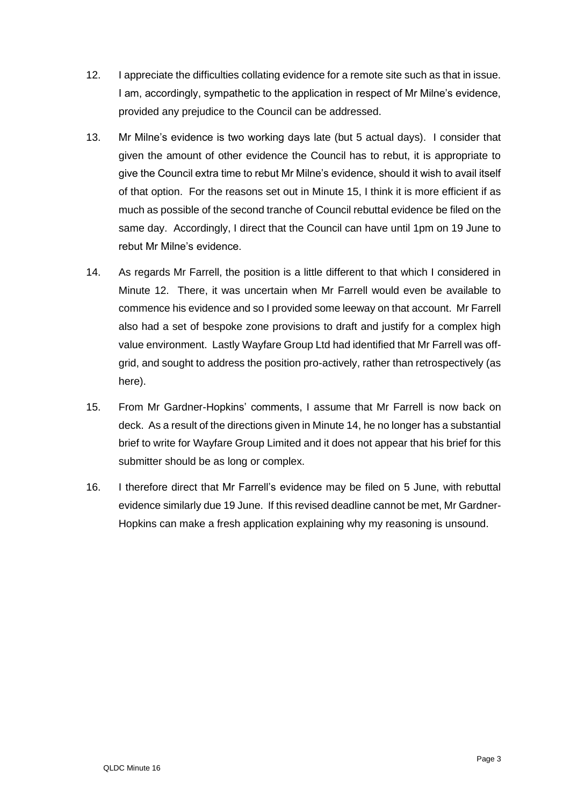- 12. I appreciate the difficulties collating evidence for a remote site such as that in issue. I am, accordingly, sympathetic to the application in respect of Mr Milne's evidence, provided any prejudice to the Council can be addressed.
- 13. Mr Milne's evidence is two working days late (but 5 actual days). I consider that given the amount of other evidence the Council has to rebut, it is appropriate to give the Council extra time to rebut Mr Milne's evidence, should it wish to avail itself of that option. For the reasons set out in Minute 15, I think it is more efficient if as much as possible of the second tranche of Council rebuttal evidence be filed on the same day. Accordingly, I direct that the Council can have until 1pm on 19 June to rebut Mr Milne's evidence.
- 14. As regards Mr Farrell, the position is a little different to that which I considered in Minute 12. There, it was uncertain when Mr Farrell would even be available to commence his evidence and so I provided some leeway on that account. Mr Farrell also had a set of bespoke zone provisions to draft and justify for a complex high value environment. Lastly Wayfare Group Ltd had identified that Mr Farrell was offgrid, and sought to address the position pro-actively, rather than retrospectively (as here).
- 15. From Mr Gardner-Hopkins' comments, I assume that Mr Farrell is now back on deck. As a result of the directions given in Minute 14, he no longer has a substantial brief to write for Wayfare Group Limited and it does not appear that his brief for this submitter should be as long or complex.
- 16. I therefore direct that Mr Farrell's evidence may be filed on 5 June, with rebuttal evidence similarly due 19 June. If this revised deadline cannot be met, Mr Gardner-Hopkins can make a fresh application explaining why my reasoning is unsound.